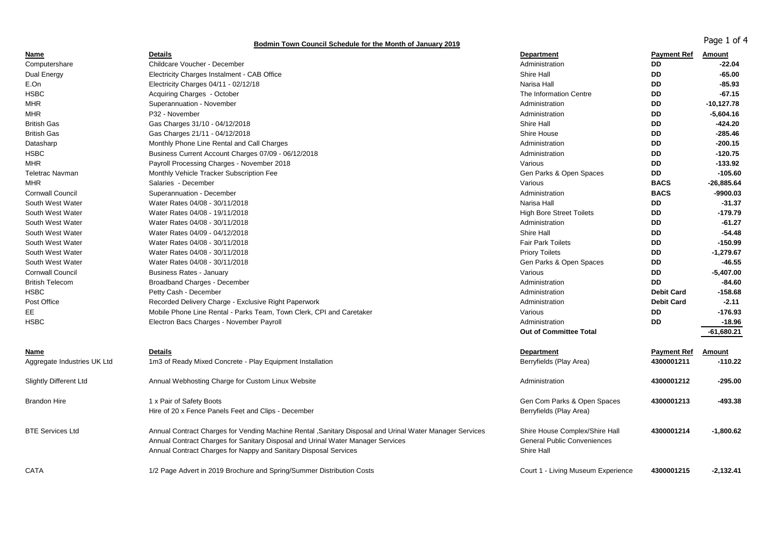## **Page 1 of 4** Bodmin Town Council Schedule for the Month of January 2019

| <u>Name</u>                   | <b>Details</b>                                                                                                                                      | <b>Department</b>                                | <b>Payment Ref</b> | Amount        |
|-------------------------------|-----------------------------------------------------------------------------------------------------------------------------------------------------|--------------------------------------------------|--------------------|---------------|
| Computershare                 | Childcare Voucher - December                                                                                                                        | Administration                                   | DD                 | $-22.04$      |
| Dual Energy                   | Electricity Charges Instalment - CAB Office                                                                                                         | Shire Hall                                       | DD                 | $-65.00$      |
| E.On                          | Electricity Charges 04/11 - 02/12/18                                                                                                                | Narisa Hall                                      | DD                 | $-85.93$      |
| <b>HSBC</b>                   | Acquiring Charges - October                                                                                                                         | The Information Centre                           | DD                 | $-67.15$      |
| <b>MHR</b>                    | Superannuation - November                                                                                                                           | Administration                                   | <b>DD</b>          | $-10, 127.78$ |
| <b>MHR</b>                    | P32 - November                                                                                                                                      | Administration                                   | <b>DD</b>          | $-5,604.16$   |
| <b>British Gas</b>            | Gas Charges 31/10 - 04/12/2018                                                                                                                      | Shire Hall                                       | DD                 | $-424.20$     |
| <b>British Gas</b>            | Gas Charges 21/11 - 04/12/2018                                                                                                                      | <b>Shire House</b>                               | DD                 | $-285.46$     |
| Datasharp                     | Monthly Phone Line Rental and Call Charges                                                                                                          | Administration                                   | <b>DD</b>          | $-200.15$     |
| <b>HSBC</b>                   | Business Current Account Charges 07/09 - 06/12/2018                                                                                                 | Administration                                   | <b>DD</b>          | $-120.75$     |
| <b>MHR</b>                    | Payroll Processing Charges - November 2018                                                                                                          | Various                                          | DD.                | $-133.92$     |
| <b>Teletrac Navman</b>        | Monthly Vehicle Tracker Subscription Fee                                                                                                            | Gen Parks & Open Spaces                          | DD                 | $-105.60$     |
| <b>MHR</b>                    | Salaries - December                                                                                                                                 | Various                                          | <b>BACS</b>        | $-26,885.64$  |
| <b>Cornwall Council</b>       | Superannuation - December                                                                                                                           | Administration                                   | <b>BACS</b>        | $-9900.03$    |
| South West Water              | Water Rates 04/08 - 30/11/2018                                                                                                                      | Narisa Hall                                      | DD                 | $-31.37$      |
| South West Water              | Water Rates 04/08 - 19/11/2018                                                                                                                      | <b>High Bore Street Toilets</b>                  | DD                 | -179.79       |
| South West Water              | Water Rates 04/08 - 30/11/2018                                                                                                                      | Administration                                   | DD                 | $-61.27$      |
| South West Water              | Water Rates 04/09 - 04/12/2018                                                                                                                      | Shire Hall                                       | <b>DD</b>          | $-54.48$      |
| South West Water              | Water Rates 04/08 - 30/11/2018                                                                                                                      | <b>Fair Park Toilets</b>                         | DD                 | $-150.99$     |
| South West Water              | Water Rates 04/08 - 30/11/2018                                                                                                                      | <b>Priory Toilets</b>                            | DD                 | $-1,279.67$   |
| South West Water              | Water Rates 04/08 - 30/11/2018                                                                                                                      | Gen Parks & Open Spaces                          | <b>DD</b>          | $-46.55$      |
| <b>Cornwall Council</b>       | <b>Business Rates - January</b>                                                                                                                     | Various                                          | <b>DD</b>          | $-5,407.00$   |
| <b>British Telecom</b>        | Broadband Charges - December                                                                                                                        | Administration                                   | DD                 | $-84.60$      |
| <b>HSBC</b>                   | Petty Cash - December                                                                                                                               | Administration                                   | <b>Debit Card</b>  | $-158.68$     |
| Post Office                   | Recorded Delivery Charge - Exclusive Right Paperwork                                                                                                | Administration                                   | <b>Debit Card</b>  | $-2.11$       |
| EE                            | Mobile Phone Line Rental - Parks Team, Town Clerk, CPI and Caretaker                                                                                | Various                                          | DD                 | $-176.93$     |
| <b>HSBC</b>                   | Electron Bacs Charges - November Payroll                                                                                                            | Administration                                   | DD                 | $-18.96$      |
|                               |                                                                                                                                                     | <b>Out of Committee Total</b>                    |                    | -61,680.21    |
| Name                          | <b>Details</b>                                                                                                                                      | <b>Department</b>                                | <b>Payment Ref</b> | Amount        |
| Aggregate Industries UK Ltd   | 1m3 of Ready Mixed Concrete - Play Equipment Installation                                                                                           | Berryfields (Play Area)                          | 4300001211         | $-110.22$     |
| <b>Slightly Different Ltd</b> | Annual Webhosting Charge for Custom Linux Website                                                                                                   | Administration                                   | 4300001212         | $-295.00$     |
| <b>Brandon Hire</b>           | 1 x Pair of Safety Boots                                                                                                                            | Gen Com Parks & Open Spaces                      | 4300001213         | -493.38       |
|                               | Hire of 20 x Fence Panels Feet and Clips - December                                                                                                 | Berryfields (Play Area)                          |                    |               |
| <b>BTE Services Ltd</b>       | Annual Contract Charges for Vending Machine Rental , Sanitary Disposal and Urinal Water Manager Services                                            | Shire House Complex/Shire Hall                   | 4300001214         | $-1,800.62$   |
|                               | Annual Contract Charges for Sanitary Disposal and Urinal Water Manager Services<br>Annual Contract Charges for Nappy and Sanitary Disposal Services | <b>General Public Conveniences</b><br>Shire Hall |                    |               |
|                               |                                                                                                                                                     |                                                  |                    |               |
| <b>CATA</b>                   | 1/2 Page Advert in 2019 Brochure and Spring/Summer Distribution Costs                                                                               | Court 1 - Living Museum Experience               | 4300001215         | $-2.132.41$   |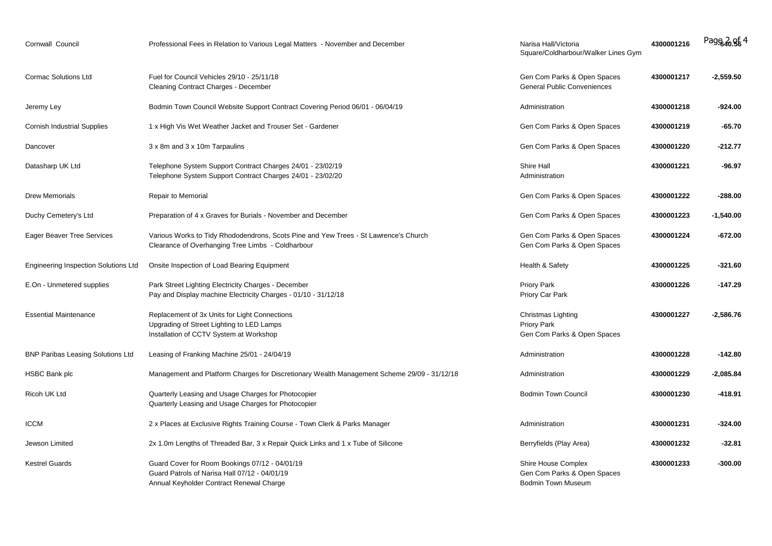| Cornwall Council                            | Professional Fees in Relation to Various Legal Matters - November and December                                                              | Narisa Hall/Victoria<br>Square/Coldharbour/Walker Lines Gym                     | 4300001216 | Page 20.96 4 |
|---------------------------------------------|---------------------------------------------------------------------------------------------------------------------------------------------|---------------------------------------------------------------------------------|------------|--------------|
| <b>Cormac Solutions Ltd</b>                 | Fuel for Council Vehicles 29/10 - 25/11/18<br>Cleaning Contract Charges - December                                                          | Gen Com Parks & Open Spaces<br><b>General Public Conveniences</b>               | 4300001217 | $-2,559.50$  |
| Jeremy Ley                                  | Bodmin Town Council Website Support Contract Covering Period 06/01 - 06/04/19                                                               | Administration                                                                  | 4300001218 | $-924.00$    |
| <b>Cornish Industrial Supplies</b>          | 1 x High Vis Wet Weather Jacket and Trouser Set - Gardener                                                                                  | Gen Com Parks & Open Spaces                                                     | 4300001219 | $-65.70$     |
| Dancover                                    | 3 x 8m and 3 x 10m Tarpaulins                                                                                                               | Gen Com Parks & Open Spaces                                                     | 4300001220 | $-212.77$    |
| Datasharp UK Ltd                            | Telephone System Support Contract Charges 24/01 - 23/02/19<br>Telephone System Support Contract Charges 24/01 - 23/02/20                    | Shire Hall<br>Administration                                                    | 4300001221 | $-96.97$     |
| <b>Drew Memorials</b>                       | Repair to Memorial                                                                                                                          | Gen Com Parks & Open Spaces                                                     | 4300001222 | -288.00      |
| Duchy Cemetery's Ltd                        | Preparation of 4 x Graves for Burials - November and December                                                                               | Gen Com Parks & Open Spaces                                                     | 4300001223 | $-1,540.00$  |
| Eager Beaver Tree Services                  | Various Works to Tidy Rhododendrons, Scots Pine and Yew Trees - St Lawrence's Church<br>Clearance of Overhanging Tree Limbs - Coldharbour   | Gen Com Parks & Open Spaces<br>Gen Com Parks & Open Spaces                      | 4300001224 | $-672.00$    |
| <b>Engineering Inspection Solutions Ltd</b> | Onsite Inspection of Load Bearing Equipment                                                                                                 | Health & Safety                                                                 | 4300001225 | -321.60      |
| E.On - Unmetered supplies                   | Park Street Lighting Electricity Charges - December<br>Pay and Display machine Electricity Charges - 01/10 - 31/12/18                       | <b>Priory Park</b><br>Priory Car Park                                           | 4300001226 | $-147.29$    |
| <b>Essential Maintenance</b>                | Replacement of 3x Units for Light Connections<br>Upgrading of Street Lighting to LED Lamps<br>Installation of CCTV System at Workshop       | Christmas Lighting<br>Priory Park<br>Gen Com Parks & Open Spaces                | 4300001227 | $-2,586.76$  |
| <b>BNP Paribas Leasing Solutions Ltd</b>    | Leasing of Franking Machine 25/01 - 24/04/19                                                                                                | Administration                                                                  | 4300001228 | $-142.80$    |
| <b>HSBC Bank plc</b>                        | Management and Platform Charges for Discretionary Wealth Management Scheme 29/09 - 31/12/18                                                 | Administration                                                                  | 4300001229 | $-2,085.84$  |
| Ricoh UK Ltd                                | Quarterly Leasing and Usage Charges for Photocopier<br>Quarterly Leasing and Usage Charges for Photocopier                                  | <b>Bodmin Town Council</b>                                                      | 4300001230 | -418.91      |
| <b>ICCM</b>                                 | 2 x Places at Exclusive Rights Training Course - Town Clerk & Parks Manager                                                                 | Administration                                                                  | 4300001231 | $-324.00$    |
| Jewson Limited                              | 2x 1.0m Lengths of Threaded Bar, 3 x Repair Quick Links and 1 x Tube of Silicone                                                            | Berryfields (Play Area)                                                         | 4300001232 | $-32.81$     |
| <b>Kestrel Guards</b>                       | Guard Cover for Room Bookings 07/12 - 04/01/19<br>Guard Patrols of Narisa Hall 07/12 - 04/01/19<br>Annual Keyholder Contract Renewal Charge | Shire House Complex<br>Gen Com Parks & Open Spaces<br><b>Bodmin Town Museum</b> | 4300001233 | $-300.00$    |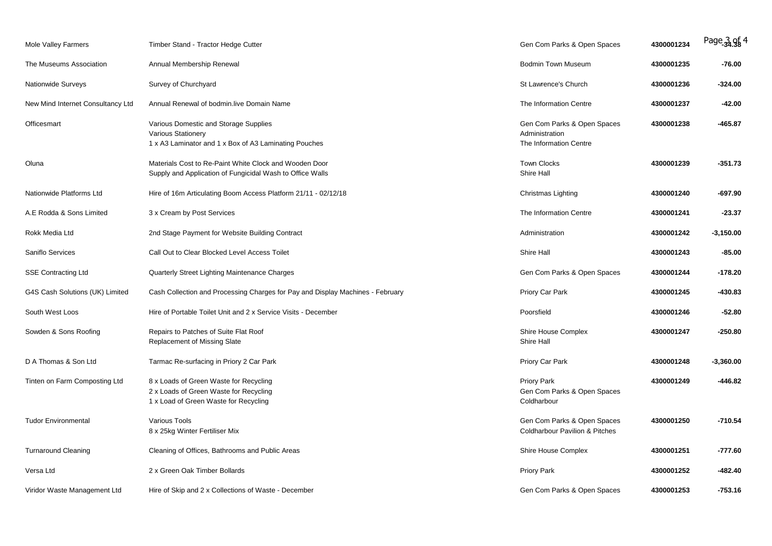| <b>Mole Valley Farmers</b>        | Timber Stand - Tractor Hedge Cutter                                                                                         | Gen Com Parks & Open Spaces                                              | 4300001234 | Page $3.954$ |
|-----------------------------------|-----------------------------------------------------------------------------------------------------------------------------|--------------------------------------------------------------------------|------------|--------------|
| The Museums Association           | Annual Membership Renewal                                                                                                   | <b>Bodmin Town Museum</b>                                                | 4300001235 | $-76.00$     |
| Nationwide Surveys                | Survey of Churchyard                                                                                                        | St Lawrence's Church                                                     | 4300001236 | $-324.00$    |
| New Mind Internet Consultancy Ltd | Annual Renewal of bodmin.live Domain Name                                                                                   | The Information Centre                                                   | 4300001237 | $-42.00$     |
| Officesmart                       | Various Domestic and Storage Supplies<br><b>Various Stationery</b><br>1 x A3 Laminator and 1 x Box of A3 Laminating Pouches | Gen Com Parks & Open Spaces<br>Administration<br>The Information Centre  | 4300001238 | -465.87      |
| Oluna                             | Materials Cost to Re-Paint White Clock and Wooden Door<br>Supply and Application of Fungicidal Wash to Office Walls         | <b>Town Clocks</b><br>Shire Hall                                         | 4300001239 | $-351.73$    |
| Nationwide Platforms Ltd          | Hire of 16m Articulating Boom Access Platform 21/11 - 02/12/18                                                              | Christmas Lighting                                                       | 4300001240 | -697.90      |
| A.E Rodda & Sons Limited          | 3 x Cream by Post Services                                                                                                  | The Information Centre                                                   | 4300001241 | $-23.37$     |
| Rokk Media Ltd                    | 2nd Stage Payment for Website Building Contract                                                                             | Administration                                                           | 4300001242 | $-3,150.00$  |
| Saniflo Services                  | Call Out to Clear Blocked Level Access Toilet                                                                               | Shire Hall                                                               | 4300001243 | $-85.00$     |
| <b>SSE Contracting Ltd</b>        | Quarterly Street Lighting Maintenance Charges                                                                               | Gen Com Parks & Open Spaces                                              | 4300001244 | $-178.20$    |
| G4S Cash Solutions (UK) Limited   | Cash Collection and Processing Charges for Pay and Display Machines - February                                              | Priory Car Park                                                          | 4300001245 | -430.83      |
| South West Loos                   | Hire of Portable Toilet Unit and 2 x Service Visits - December                                                              | Poorsfield                                                               | 4300001246 | $-52.80$     |
| Sowden & Sons Roofing             | Repairs to Patches of Suite Flat Roof<br>Replacement of Missing Slate                                                       | Shire House Complex<br>Shire Hall                                        | 4300001247 | $-250.80$    |
| D A Thomas & Son Ltd              | Tarmac Re-surfacing in Priory 2 Car Park                                                                                    | Priory Car Park                                                          | 4300001248 | $-3,360.00$  |
| Tinten on Farm Composting Ltd     | 8 x Loads of Green Waste for Recycling<br>2 x Loads of Green Waste for Recycling<br>1 x Load of Green Waste for Recycling   | <b>Priory Park</b><br>Gen Com Parks & Open Spaces<br>Coldharbour         | 4300001249 | $-446.82$    |
| <b>Tudor Environmental</b>        | Various Tools<br>8 x 25kg Winter Fertiliser Mix                                                                             | Gen Com Parks & Open Spaces<br><b>Coldharbour Pavilion &amp; Pitches</b> | 4300001250 | $-710.54$    |
| <b>Turnaround Cleaning</b>        | Cleaning of Offices, Bathrooms and Public Areas                                                                             | Shire House Complex                                                      | 4300001251 | $-777.60$    |
| Versa Ltd                         | 2 x Green Oak Timber Bollards                                                                                               | <b>Priory Park</b>                                                       | 4300001252 | -482.40      |
| Viridor Waste Management Ltd      | Hire of Skip and 2 x Collections of Waste - December                                                                        | Gen Com Parks & Open Spaces                                              | 4300001253 | $-753.16$    |